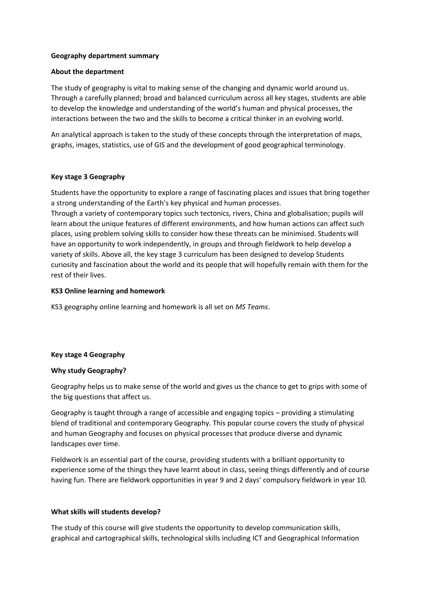# **Geography department summary**

#### **About the department**

The study of geography is vital to making sense of the changing and dynamic world around us. Through a carefully planned; broad and balanced curriculum across all key stages, students are able to develop the knowledge and understanding of the world's human and physical processes, the interactions between the two and the skills to become a critical thinker in an evolving world.

An analytical approach is taken to the study of these concepts through the interpretation of maps, graphs, images, statistics, use of GIS and the development of good geographical terminology.

# **Key stage 3 Geography**

Students have the opportunity to explore a range of fascinating places and issues that bring together a strong understanding of the Earth's key physical and human processes.

Through a variety of contemporary topics such tectonics, rivers, China and globalisation; pupils will learn about the unique features of different environments, and how human actions can affect such places, using problem solving skills to consider how these threats can be minimised. Students will have an opportunity to work independently, in groups and through fieldwork to help develop a variety of skills. Above all, the key stage 3 curriculum has been designed to develop Students curiosity and fascination about the world and its people that will hopefully remain with them for the rest of their lives.

#### **KS3 Online learning and homework**

KS3 geography online learning and homework is all set on *MS Teams*.

# **Key stage 4 Geography**

#### **Why study Geography?**

Geography helps us to make sense of the world and gives us the chance to get to grips with some of the big questions that affect us.

Geography is taught through a range of accessible and engaging topics – providing a stimulating blend of traditional and contemporary Geography. This popular course covers the study of physical and human Geography and focuses on physical processes that produce diverse and dynamic landscapes over time.

Fieldwork is an essential part of the course, providing students with a brilliant opportunity to experience some of the things they have learnt about in class, seeing things differently and of course having fun. There are fieldwork opportunities in year 9 and 2 days' compulsory fieldwork in year 10.

# **What skills will students develop?**

The study of this course will give students the opportunity to develop communication skills, graphical and cartographical skills, technological skills including ICT and Geographical Information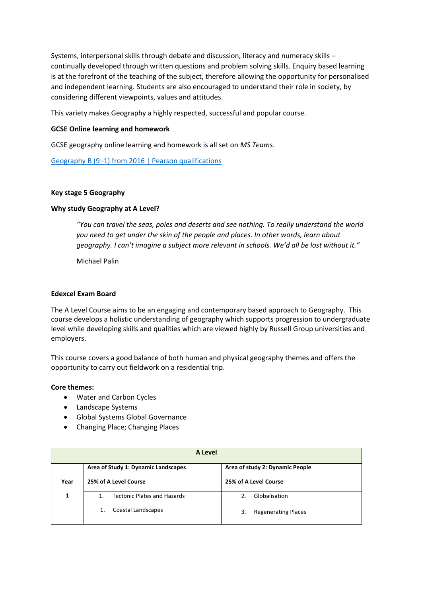Systems, interpersonal skills through debate and discussion, literacy and numeracy skills – continually developed through written questions and problem solving skills. Enquiry based learning is at the forefront of the teaching of the subject, therefore allowing the opportunity for personalised and independent learning. Students are also encouraged to understand their role in society, by considering different viewpoints, values and attitudes.

This variety makes Geography a highly respected, successful and popular course.

# **GCSE Online learning and homework**

GCSE geography online learning and homework is all set on *MS Teams*.

Geography B (9–[1\) from 2016 | Pearson qualifications](https://qualifications.pearson.com/en/qualifications/edexcel-gcses/geography-b-2016.html)

# **Key stage 5 Geography**

# **Why study Geography at A Level?**

*"You can travel the seas, poles and deserts and see nothing. To really understand the world you need to get under the skin of the people and places. In other words, learn about geography. I can't imagine a subject more relevant in schools. We'd all be lost without it."* 

Michael Palin

#### **Edexcel Exam Board**

The A Level Course aims to be an engaging and contemporary based approach to Geography. This course develops a holistic understanding of geography which supports progression to undergraduate level while developing skills and qualities which are viewed highly by Russell Group universities and employers.

This course covers a good balance of both human and physical geography themes and offers the opportunity to carry out fieldwork on a residential trip.

# **Core themes:**

- Water and Carbon Cycles
- Landscape Systems
- Global Systems Global Governance
- Changing Place; Changing Places

| A Level |                                                    |                                  |  |
|---------|----------------------------------------------------|----------------------------------|--|
|         | Area of Study 1: Dynamic Landscapes                | Area of study 2: Dynamic People  |  |
| Year    | 25% of A Level Course                              | 25% of A Level Course            |  |
| 1       | <b>Tectonic Plates and Hazards</b><br>$\mathbf{1}$ | Globalisation<br>2.              |  |
|         | Coastal Landscapes                                 | <b>Regenerating Places</b><br>3. |  |